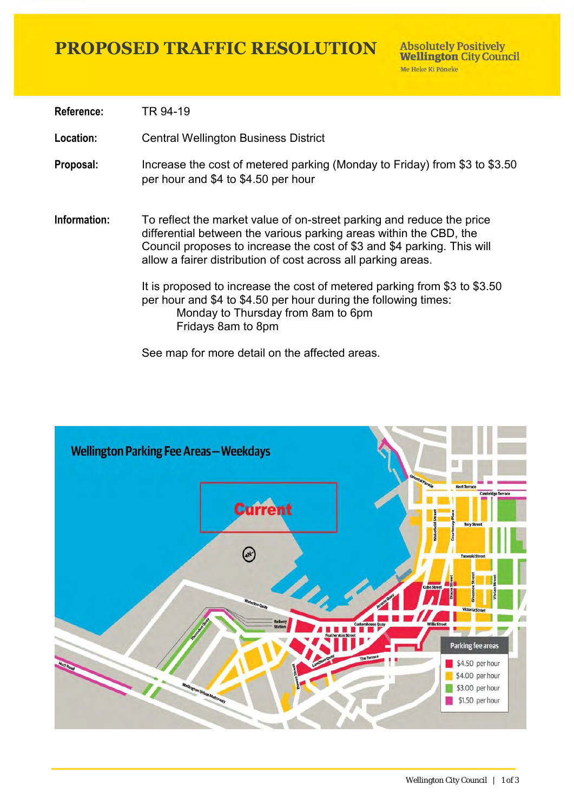### **PROPOSED TRAFFIC RESOLUTION**

**Reference:** TR 94-19

Location: Central Wellington Business District

**Proposal:** Increase the cost of metered parking (Monday to Friday) from \$3 to \$3.50 per hour and \$4 to \$4.50 per hour

**Information:** To reflect the market value of on-street parking and reduce the price differential between the various parking areas within the CBD, the Council proposes to increase the cost of \$3 and \$4 parking. This will allow a fairer distribution of cost across all parking areas.

> It is proposed to increase the cost of metered parking from \$3 to \$3.50 per hour and \$4 to \$4.50 per hour during the following times: Monday to Thursday from 8am to 6pm Fridays 8am to 8pm

See [map](https://wellington.govt.nz/~/media/services/parking-and-roads/parking/files/parking-fee-areas-map-weekdays.pdf?la=en) for more detail on the affected areas.

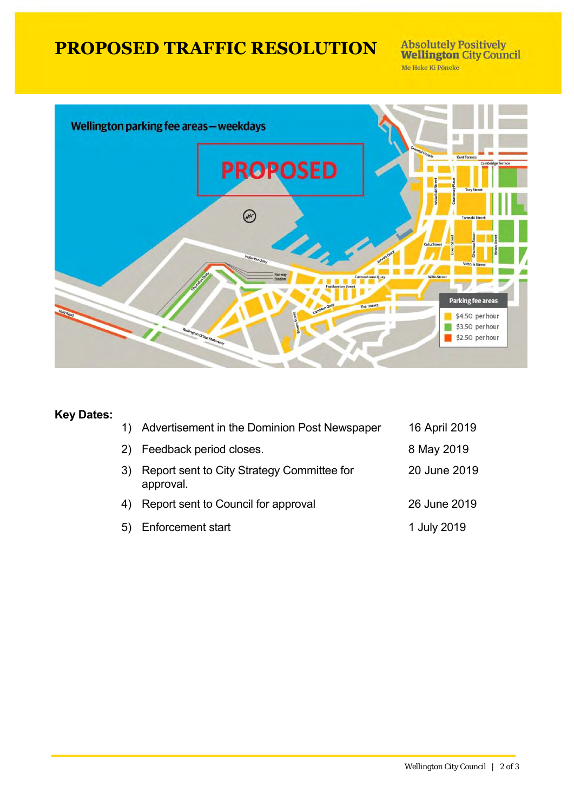# **PROPOSED TRAFFIC RESOLUTION**

**Absolutely Positively<br>Wellington City Council** Me Heke Ki Pôneke



### **Key Dates:**

|    | Advertisement in the Dominion Post Newspaper            | 16 April 2019 |
|----|---------------------------------------------------------|---------------|
| 2) | Feedback period closes.                                 | 8 May 2019    |
| 3) | Report sent to City Strategy Committee for<br>approval. | 20 June 2019  |
| 4) | Report sent to Council for approval                     | 26 June 2019  |
| 5) | Enforcement start                                       | 1 July 2019   |